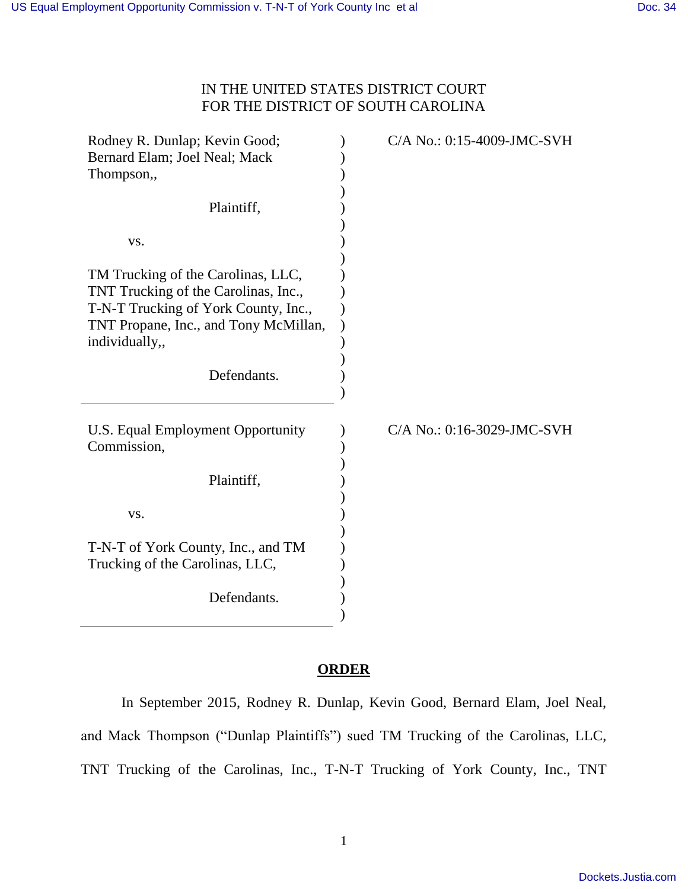## IN THE UNITED STATES DISTRICT COURT FOR THE DISTRICT OF SOUTH CAROLINA

| Rodney R. Dunlap; Kevin Good;<br>Bernard Elam; Joel Neal; Mack<br>Thompson,,                                                                                                  | C/A No.: 0:15-4009-JMC-SVH |
|-------------------------------------------------------------------------------------------------------------------------------------------------------------------------------|----------------------------|
| Plaintiff,                                                                                                                                                                    |                            |
| VS.                                                                                                                                                                           |                            |
| TM Trucking of the Carolinas, LLC,<br>TNT Trucking of the Carolinas, Inc.,<br>T-N-T Trucking of York County, Inc.,<br>TNT Propane, Inc., and Tony McMillan,<br>individually,, |                            |
| Defendants.                                                                                                                                                                   |                            |
| U.S. Equal Employment Opportunity<br>Commission,                                                                                                                              | C/A No.: 0:16-3029-JMC-SVH |
| Plaintiff,                                                                                                                                                                    |                            |
| VS.                                                                                                                                                                           |                            |
| T-N-T of York County, Inc., and TM<br>Trucking of the Carolinas, LLC,                                                                                                         |                            |
| Defendants.                                                                                                                                                                   |                            |

## **ORDER**

 In September 2015, Rodney R. Dunlap, Kevin Good, Bernard Elam, Joel Neal, and Mack Thompson ("Dunlap Plaintiffs") sued TM Trucking of the Carolinas, LLC, TNT Trucking of the Carolinas, Inc., T-N-T Trucking of York County, Inc., TNT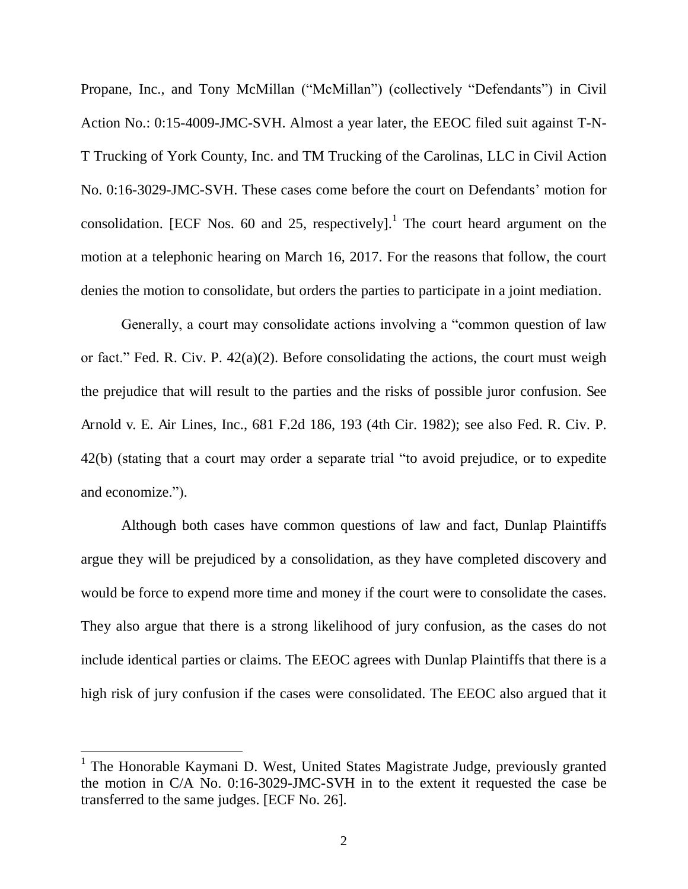Propane, Inc., and Tony McMillan ("McMillan") (collectively "Defendants") in Civil Action No.: 0:15-4009-JMC-SVH. Almost a year later, the EEOC filed suit against T-N-T Trucking of York County, Inc. and TM Trucking of the Carolinas, LLC in Civil Action No. 0:16-3029-JMC-SVH. These cases come before the court on Defendants' motion for consolidation. [ECF Nos. 60 and 25, respectively].<sup>1</sup> The court heard argument on the motion at a telephonic hearing on March 16, 2017. For the reasons that follow, the court denies the motion to consolidate, but orders the parties to participate in a joint mediation.

Generally, a court may consolidate actions involving a "common question of law or fact." Fed. R. Civ. P. 42(a)(2). Before consolidating the actions, the court must weigh the prejudice that will result to the parties and the risks of possible juror confusion. See Arnold v. E. Air Lines, Inc., 681 F.2d 186, 193 (4th Cir. 1982); see also Fed. R. Civ. P. 42(b) (stating that a court may order a separate trial "to avoid prejudice, or to expedite and economize.").

Although both cases have common questions of law and fact, Dunlap Plaintiffs argue they will be prejudiced by a consolidation, as they have completed discovery and would be force to expend more time and money if the court were to consolidate the cases. They also argue that there is a strong likelihood of jury confusion, as the cases do not include identical parties or claims. The EEOC agrees with Dunlap Plaintiffs that there is a high risk of jury confusion if the cases were consolidated. The EEOC also argued that it

 $\overline{a}$ 

<sup>&</sup>lt;sup>1</sup> The Honorable Kaymani D. West, United States Magistrate Judge, previously granted the motion in C/A No. 0:16-3029-JMC-SVH in to the extent it requested the case be transferred to the same judges. [ECF No. 26].